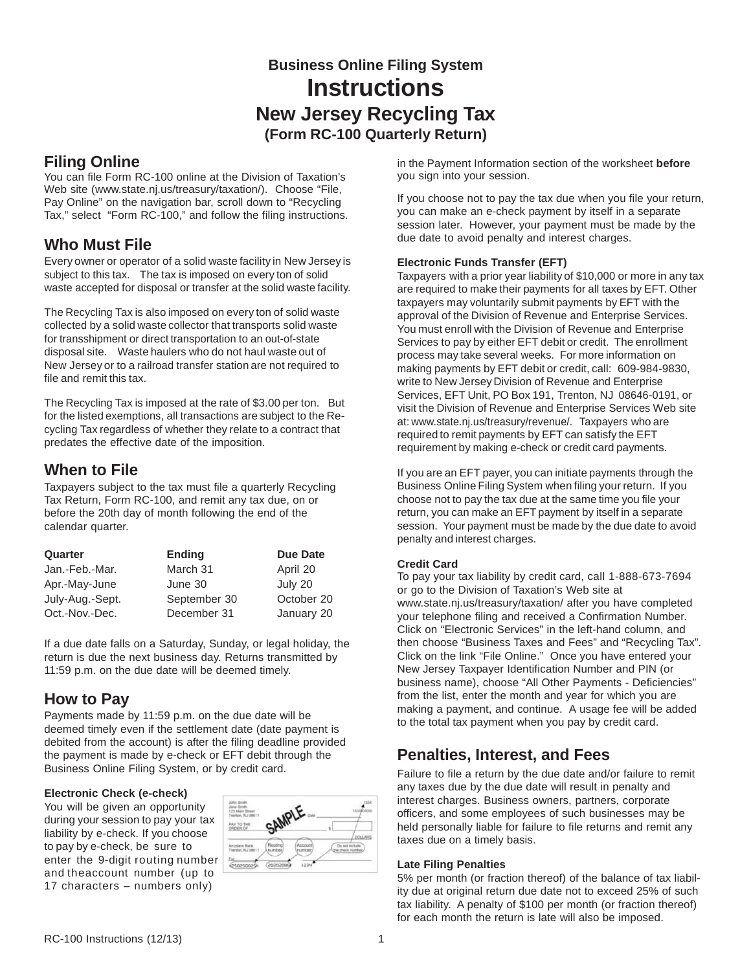# **Business Online Filing System Instructions New Jersey Recycling Tax (Form RC-100 Quarterly Return)**

## **Filing Online**

You can file Form RC-100 online at the Division of Taxation's Web site (www.state.nj.us/treasury/taxation/). Choose "File, Pay Online" on the navigation bar, scroll down to "Recycling Tax," select "Form RC-100," and follow the filing instructions.

# **Who Must File**

Every owner or operator of a solid waste facility in New Jersey is subject to this tax. The tax is imposed on every ton of solid waste accepted for disposal or transfer at the solid waste facility.

The Recycling Tax is also imposed on every ton of solid waste collected by a solid waste collector that transports solid waste for transshipment or direct transportation to an out-of-state disposal site. Waste haulers who do not haul waste out of New Jersey or to a railroad transfer station are not required to file and remit this tax.

The Recycling Tax is imposed at the rate of \$3.00 per ton. But for the listed exemptions, all transactions are subject to the Recycling Tax regardless of whether they relate to a contract that predates the effective date of the imposition.

# **When to File**

Taxpayers subject to the tax must file a quarterly Recycling Tax Return, Form RC-100, and remit any tax due, on or before the 20th day of month following the end of the calendar quarter.

| Quarter         | <b>Ending</b> | <b>Due Date</b> |
|-----------------|---------------|-----------------|
| Jan.-Feb.-Mar.  | March 31      | April 20        |
| Apr.-May-June   | June 30       | July 20         |
| July-Aug.-Sept. | September 30  | October 20      |
| Oct.-Nov.-Dec.  | December 31   | January 20      |

If a due date falls on a Saturday, Sunday, or legal holiday, the return is due the next business day. Returns transmitted by 11:59 p.m. on the due date will be deemed timely.

# **How to Pay**

Payments made by 11:59 p.m. on the due date will be deemed timely even if the settlement date (date payment is debited from the account) is after the filing deadline provided the payment is made by e-check or EFT debit through the Business Online Filing System, or by credit card.

### **Electronic Check (e-check)**

You will be given an opportunity during your session to pay your tax liability by e-check. If you choose to pay by e-check, be sure to enter the 9-digit routing number and the account number (up to 17 characters – numbers only)



in the Payment Information section of the worksheet **before** you sign into your session.

If you choose not to pay the tax due when you file your return, you can make an e-check payment by itself in a separate session later. However, your payment must be made by the due date to avoid penalty and interest charges.

### **Electronic Funds Transfer (EFT)**

Taxpayers with a prior year liability of \$10,000 or more in any tax are required to make their payments for all taxes by EFT. Other taxpayers may voluntarily submit payments by EFT with the approval of the Division of Revenue and Enterprise Services. You must enroll with the Division of Revenue and Enterprise Services to pay by either EFT debit or credit. The enrollment process may take several weeks. For more information on making payments by EFT debit or credit, call: 609-984-9830, write to New Jersey Division of Revenue and Enterprise Services, EFT Unit, PO Box 191, Trenton, NJ 08646-0191, or visit the Division of Revenue and Enterprise Services Web site at: www.state.nj.us/treasury/revenue/. Taxpayers who are required to remit payments by EFT can satisfy the EFT requirement by making e-check or credit card payments.

If you are an EFT payer, you can initiate payments through the Business Online Filing System when filing your return. If you choose not to pay the tax due at the same time you file your return, you can make an EFT payment by itself in a separate session. Your payment must be made by the due date to avoid penalty and interest charges.

### **Credit Card**

To pay your tax liability by credit card, call 1-888-673-7694 or go to the Division of Taxation's Web site at www.state.nj.us/treasury/taxation/ after you have completed your telephone filing and received a Confirmation Number. Click on "Electronic Services" in the left-hand column, and then choose "Business Taxes and Fees" and "Recycling Tax". Click on the link "File Online." Once you have entered your New Jersey Taxpayer Identification Number and PIN (or business name), choose "All Other Payments - Deficiencies" from the list, enter the month and year for which you are making a payment, and continue. A usage fee will be added to the total tax payment when you pay by credit card.

# **Penalties, Interest, and Fees**

Failure to file a return by the due date and/or failure to remit any taxes due by the due date will result in penalty and interest charges. Business owners, partners, corporate officers, and some employees of such businesses may be held personally liable for failure to file returns and remit any taxes due on a timely basis.

#### **Late Filing Penalties**

5% per month (or fraction thereof) of the balance of tax liability due at original return due date not to exceed 25% of such tax liability. A penalty of \$100 per month (or fraction thereof) for each month the return is late will also be imposed.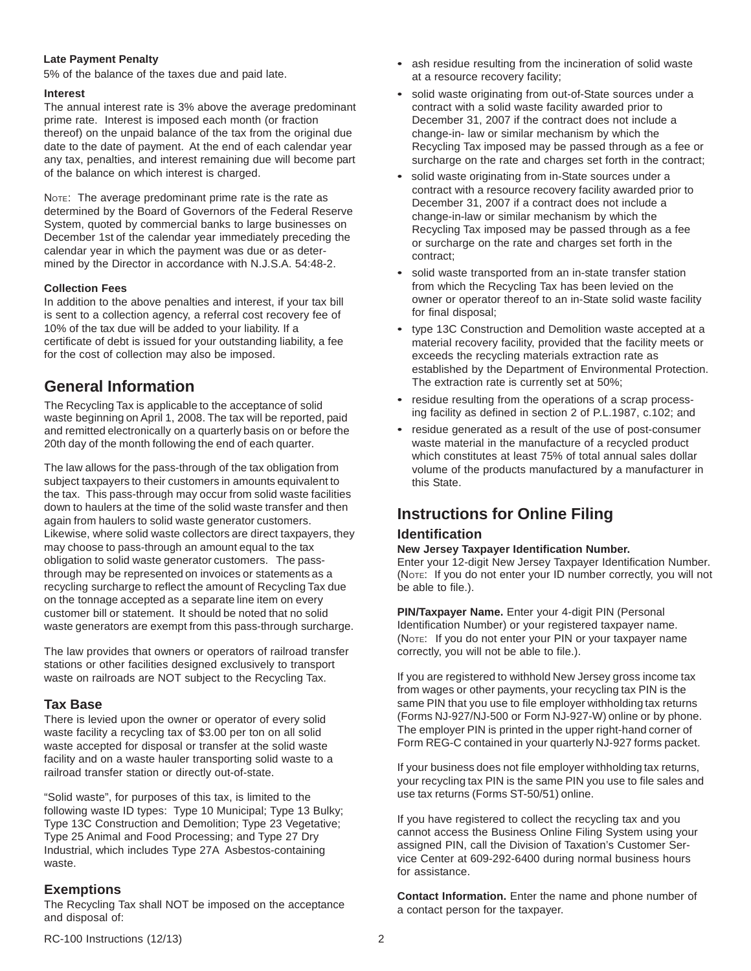#### **Late Payment Penalty**

5% of the balance of the taxes due and paid late.

#### **Interest**

The annual interest rate is 3% above the average predominant prime rate. Interest is imposed each month (or fraction thereof) on the unpaid balance of the tax from the original due date to the date of payment. At the end of each calendar year any tax, penalties, and interest remaining due will become part of the balance on which interest is charged.

NOTE: The average predominant prime rate is the rate as determined by the Board of Governors of the Federal Reserve System, quoted by commercial banks to large businesses on December 1st of the calendar year immediately preceding the calendar year in which the payment was due or as determined by the Director in accordance with N.J.S.A. 54:48-2.

#### **Collection Fees**

In addition to the above penalties and interest, if your tax bill is sent to a collection agency, a referral cost recovery fee of 10% of the tax due will be added to your liability. If a certificate of debt is issued for your outstanding liability, a fee for the cost of collection may also be imposed.

## **General Information**

The Recycling Tax is applicable to the acceptance of solid waste beginning on April 1, 2008. The tax will be reported, paid and remitted electronically on a quarterly basis on or before the 20th day of the month following the end of each quarter.

The law allows for the pass-through of the tax obligation from subject taxpayers to their customers in amounts equivalent to the tax. This pass-through may occur from solid waste facilities down to haulers at the time of the solid waste transfer and then again from haulers to solid waste generator customers. Likewise, where solid waste collectors are direct taxpayers, they may choose to pass-through an amount equal to the tax obligation to solid waste generator customers. The passthrough may be represented on invoices or statements as a recycling surcharge to reflect the amount of Recycling Tax due on the tonnage accepted as a separate line item on every customer bill or statement. It should be noted that no solid waste generators are exempt from this pass-through surcharge.

The law provides that owners or operators of railroad transfer stations or other facilities designed exclusively to transport waste on railroads are NOT subject to the Recycling Tax.

#### **Tax Base**

There is levied upon the owner or operator of every solid waste facility a recycling tax of \$3.00 per ton on all solid waste accepted for disposal or transfer at the solid waste facility and on a waste hauler transporting solid waste to a railroad transfer station or directly out-of-state.

"Solid waste", for purposes of this tax, is limited to the following waste ID types: Type 10 Municipal; Type 13 Bulky; Type 13C Construction and Demolition; Type 23 Vegetative; Type 25 Animal and Food Processing; and Type 27 Dry Industrial, which includes Type 27A Asbestos-containing waste.

#### **Exemptions**

The Recycling Tax shall NOT be imposed on the acceptance and disposal of:

- ash residue resulting from the incineration of solid waste at a resource recovery facility;
- solid waste originating from out-of-State sources under a contract with a solid waste facility awarded prior to December 31, 2007 if the contract does not include a change-in- law or similar mechanism by which the Recycling Tax imposed may be passed through as a fee or surcharge on the rate and charges set forth in the contract;
- solid waste originating from in-State sources under a contract with a resource recovery facility awarded prior to December 31, 2007 if a contract does not include a change-in-law or similar mechanism by which the Recycling Tax imposed may be passed through as a fee or surcharge on the rate and charges set forth in the contract;
- solid waste transported from an in-state transfer station from which the Recycling Tax has been levied on the owner or operator thereof to an in-State solid waste facility for final disposal;
- type 13C Construction and Demolition waste accepted at a material recovery facility, provided that the facility meets or exceeds the recycling materials extraction rate as established by the Department of Environmental Protection. The extraction rate is currently set at 50%;
- residue resulting from the operations of a scrap processing facility as defined in section 2 of P.L.1987, c.102; and
- residue generated as a result of the use of post-consumer waste material in the manufacture of a recycled product which constitutes at least 75% of total annual sales dollar volume of the products manufactured by a manufacturer in this State.

## **Instructions for Online Filing**

#### **Identification**

#### **New Jersey Taxpayer Identification Number.**

Enter your 12-digit New Jersey Taxpayer Identification Number. (NOTE: If you do not enter your ID number correctly, you will not be able to file.).

**PIN/Taxpayer Name.** Enter your 4-digit PIN (Personal Identification Number) or your registered taxpayer name. (NOTE: If you do not enter your PIN or your taxpayer name correctly, you will not be able to file.).

If you are registered to withhold New Jersey gross income tax from wages or other payments, your recycling tax PIN is the same PIN that you use to file employer withholding tax returns (Forms NJ-927/NJ-500 or Form NJ-927-W) online or by phone. The employer PIN is printed in the upper right-hand corner of Form REG-C contained in your quarterly NJ-927 forms packet.

If your business does not file employer withholding tax returns, your recycling tax PIN is the same PIN you use to file sales and use tax returns (Forms ST-50/51) online.

If you have registered to collect the recycling tax and you cannot access the Business Online Filing System using your assigned PIN, call the Division of Taxation's Customer Service Center at 609-292-6400 during normal business hours for assistance.

**Contact Information.** Enter the name and phone number of a contact person for the taxpayer.